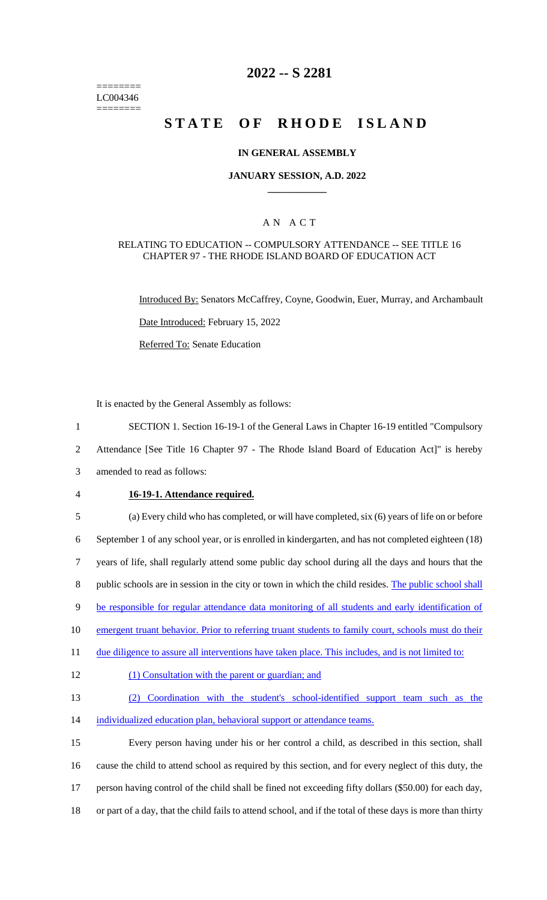======== LC004346  $=$ 

# **2022 -- S 2281**

# **STATE OF RHODE ISLAND**

#### **IN GENERAL ASSEMBLY**

#### **JANUARY SESSION, A.D. 2022 \_\_\_\_\_\_\_\_\_\_\_\_**

### A N A C T

#### RELATING TO EDUCATION -- COMPULSORY ATTENDANCE -- SEE TITLE 16 CHAPTER 97 - THE RHODE ISLAND BOARD OF EDUCATION ACT

Introduced By: Senators McCaffrey, Coyne, Goodwin, Euer, Murray, and Archambault Date Introduced: February 15, 2022

Referred To: Senate Education

It is enacted by the General Assembly as follows:

1 SECTION 1. Section 16-19-1 of the General Laws in Chapter 16-19 entitled "Compulsory

2 Attendance [See Title 16 Chapter 97 - The Rhode Island Board of Education Act]" is hereby

3 amended to read as follows:

#### 4 **16-19-1. Attendance required.**

| 5      | (a) Every child who has completed, or will have completed, six (6) years of life on or before               |
|--------|-------------------------------------------------------------------------------------------------------------|
| 6      | September 1 of any school year, or is enrolled in kindergarten, and has not completed eighteen (18)         |
| $\tau$ | years of life, shall regularly attend some public day school during all the days and hours that the         |
| $8\,$  | public schools are in session in the city or town in which the child resides. The public school shall       |
| 9      | be responsible for regular attendance data monitoring of all students and early identification of           |
| 10     | emergent truant behavior. Prior to referring truant students to family court, schools must do their         |
| 11     | due diligence to assure all interventions have taken place. This includes, and is not limited to:           |
| 12     | (1) Consultation with the parent or guardian; and                                                           |
| 13     | Coordination with the student's school-identified support team such as the<br>(2)                           |
| 14     | individualized education plan, behavioral support or attendance teams.                                      |
| 15     | Every person having under his or her control a child, as described in this section, shall                   |
| 16     | cause the child to attend school as required by this section, and for every neglect of this duty, the       |
| 17     | person having control of the child shall be fined not exceeding fifty dollars (\$50.00) for each day,       |
| 18     | or part of a day, that the child fails to attend school, and if the total of these days is more than thirty |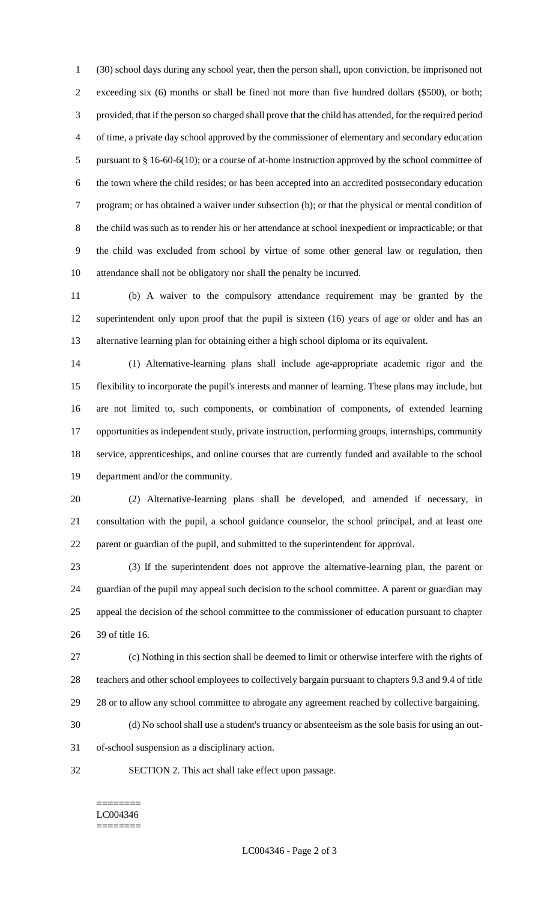(30) school days during any school year, then the person shall, upon conviction, be imprisoned not exceeding six (6) months or shall be fined not more than five hundred dollars (\$500), or both; provided, that if the person so charged shall prove that the child has attended, for the required period of time, a private day school approved by the commissioner of elementary and secondary education 5 pursuant to § 16-60-6(10); or a course of at-home instruction approved by the school committee of the town where the child resides; or has been accepted into an accredited postsecondary education program; or has obtained a waiver under subsection (b); or that the physical or mental condition of the child was such as to render his or her attendance at school inexpedient or impracticable; or that the child was excluded from school by virtue of some other general law or regulation, then attendance shall not be obligatory nor shall the penalty be incurred.

 (b) A waiver to the compulsory attendance requirement may be granted by the superintendent only upon proof that the pupil is sixteen (16) years of age or older and has an alternative learning plan for obtaining either a high school diploma or its equivalent.

 (1) Alternative-learning plans shall include age-appropriate academic rigor and the flexibility to incorporate the pupil's interests and manner of learning. These plans may include, but are not limited to, such components, or combination of components, of extended learning opportunities as independent study, private instruction, performing groups, internships, community service, apprenticeships, and online courses that are currently funded and available to the school department and/or the community.

 (2) Alternative-learning plans shall be developed, and amended if necessary, in consultation with the pupil, a school guidance counselor, the school principal, and at least one parent or guardian of the pupil, and submitted to the superintendent for approval.

 (3) If the superintendent does not approve the alternative-learning plan, the parent or guardian of the pupil may appeal such decision to the school committee. A parent or guardian may appeal the decision of the school committee to the commissioner of education pursuant to chapter 39 of title 16.

 (c) Nothing in this section shall be deemed to limit or otherwise interfere with the rights of teachers and other school employees to collectively bargain pursuant to chapters 9.3 and 9.4 of title 29 28 or to allow any school committee to abrogate any agreement reached by collective bargaining.

(d) No school shall use a student's truancy or absenteeism as the sole basis for using an out-

of-school suspension as a disciplinary action.

SECTION 2. This act shall take effect upon passage.

#### ======== LC004346 ========